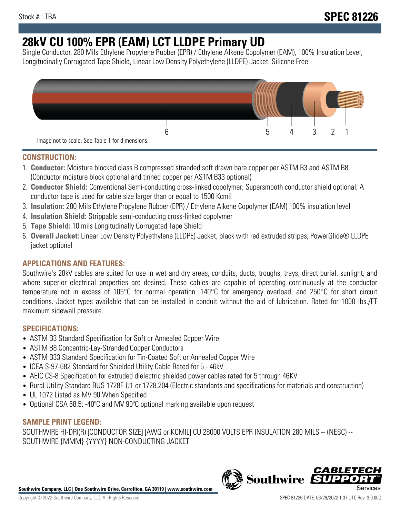# **28kV CU 100% EPR (EAM) LCT LLDPE Primary UD**

Single Conductor, 280 Mils Ethylene Propylene Rubber (EPR) / Ethylene Alkene Copolymer (EAM), 100% Insulation Level, Longitudinally Corrugated Tape Shield, Linear Low Density Polyethylene (LLDPE) Jacket. Silicone Free



## **CONSTRUCTION:**

- 1. **Conductor:** Moisture blocked class B compressed stranded soft drawn bare copper per ASTM B3 and ASTM B8 (Conductor moisture block optional and tinned copper per ASTM B33 optional)
- 2. **Conductor Shield:** Conventional Semi-conducting cross-linked copolymer; Supersmooth conductor shield optional; A conductor tape is used for cable size larger than or equal to 1500 Kcmil
- 3. **Insulation:** 280 Mils Ethylene Propylene Rubber (EPR) / Ethylene Alkene Copolymer (EAM) 100% insulation level
- 4. **Insulation Shield:** Strippable semi-conducting cross-linked copolymer
- 5. **Tape Shield:** 10 mils Longitudinally Corrugated Tape Shield
- 6. **Overall Jacket:** Linear Low Density Polyethylene (LLDPE) Jacket, black with red extruded stripes; PowerGlide® LLDPE jacket optional

## **APPLICATIONS AND FEATURES:**

Southwire's 28kV cables are suited for use in wet and dry areas, conduits, ducts, troughs, trays, direct burial, sunlight, and where superior electrical properties are desired. These cables are capable of operating continuously at the conductor temperature not in excess of 105°C for normal operation. 140°C for emergency overload, and 250°C for short circuit conditions. Jacket types available that can be installed in conduit without the aid of lubrication. Rated for 1000 lbs./FT maximum sidewall pressure.

## **SPECIFICATIONS:**

- ASTM B3 Standard Specification for Soft or Annealed Copper Wire
- ASTM B8 Concentric-Lay-Stranded Copper Conductors
- ASTM B33 Standard Specification for Tin-Coated Soft or Annealed Copper Wire
- ICEA S-97-682 Standard for Shielded Utility Cable Rated for 5 46kV
- AEIC CS-8 Specification for extruded dielectric shielded power cables rated for 5 through 46KV
- Rural Utility Standard RUS 1728F-U1 or 1728.204 (Electric standards and specifications for materials and construction)
- UL 1072 Listed as MV 90 When Specified
- Optional CSA 68.5: -40ºC and MV 90ºC optional marking available upon request

### **SAMPLE PRINT LEGEND:**

SOUTHWIRE HI-DRI(R) [CONDUCTOR SIZE] [AWG or KCMIL] CU 28000 VOLTS EPR INSULATION 280 MILS -- (NESC) -- SOUTHWIRE {MMM} {YYYY} NON-CONDUCTING JACKET

**Southwire Company, LLC | One Southwire Drive, Carrollton, GA 30119 | www.southwire.com**